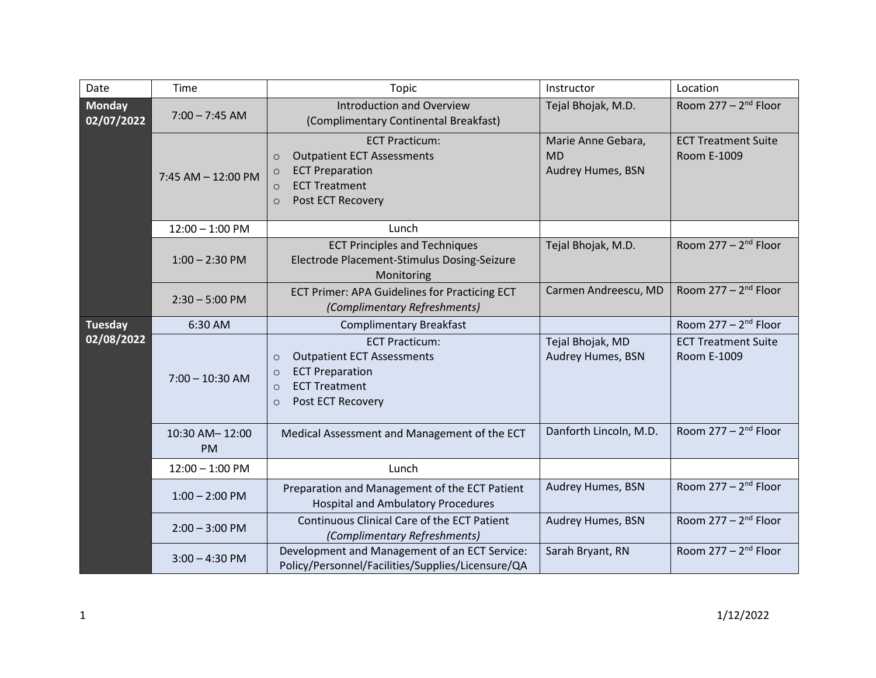| Date                        | Time                        | Topic                                                                                                                                                                         | Instructor                                           | Location                                  |
|-----------------------------|-----------------------------|-------------------------------------------------------------------------------------------------------------------------------------------------------------------------------|------------------------------------------------------|-------------------------------------------|
| <b>Monday</b><br>02/07/2022 | $7:00 - 7:45$ AM            | <b>Introduction and Overview</b><br>(Complimentary Continental Breakfast)                                                                                                     | Tejal Bhojak, M.D.                                   | Room $277 - 2^{nd}$ Floor                 |
|                             | 7:45 AM - 12:00 PM          | <b>ECT Practicum:</b><br><b>Outpatient ECT Assessments</b><br>$\circ$<br><b>ECT Preparation</b><br>$\circ$<br><b>ECT Treatment</b><br>$\circ$<br>Post ECT Recovery<br>$\circ$ | Marie Anne Gebara,<br><b>MD</b><br>Audrey Humes, BSN | <b>ECT Treatment Suite</b><br>Room E-1009 |
|                             | $12:00 - 1:00$ PM           | Lunch                                                                                                                                                                         |                                                      |                                           |
|                             | $1:00 - 2:30$ PM            | <b>ECT Principles and Techniques</b><br>Electrode Placement-Stimulus Dosing-Seizure<br>Monitoring                                                                             | Tejal Bhojak, M.D.                                   | Room $277 - 2^{nd}$ Floor                 |
|                             | $2:30 - 5:00$ PM            | <b>ECT Primer: APA Guidelines for Practicing ECT</b><br>(Complimentary Refreshments)                                                                                          | Carmen Andreescu, MD                                 | Room $277 - 2^{nd}$ Floor                 |
| <b>Tuesday</b>              | 6:30 AM                     | <b>Complimentary Breakfast</b>                                                                                                                                                |                                                      | Room $277 - 2^{nd}$ Floor                 |
| 02/08/2022                  | $7:00 - 10:30$ AM           | <b>ECT Practicum:</b><br><b>Outpatient ECT Assessments</b><br>$\circ$<br><b>ECT Preparation</b><br>$\circ$<br><b>ECT Treatment</b><br>$\circ$<br>Post ECT Recovery<br>$\circ$ | Tejal Bhojak, MD<br>Audrey Humes, BSN                | <b>ECT Treatment Suite</b><br>Room E-1009 |
|                             | 10:30 AM-12:00<br><b>PM</b> | Medical Assessment and Management of the ECT                                                                                                                                  | Danforth Lincoln, M.D.                               | Room $277 - 2^{nd}$ Floor                 |
|                             | $12:00 - 1:00$ PM           | Lunch                                                                                                                                                                         |                                                      |                                           |
|                             | $1:00 - 2:00$ PM            | Preparation and Management of the ECT Patient<br><b>Hospital and Ambulatory Procedures</b>                                                                                    | Audrey Humes, BSN                                    | Room $277 - 2^{nd}$ Floor                 |
|                             | $2:00 - 3:00$ PM            | <b>Continuous Clinical Care of the ECT Patient</b><br>(Complimentary Refreshments)                                                                                            | Audrey Humes, BSN                                    | Room $277 - 2^{nd}$ Floor                 |
|                             | $3:00 - 4:30$ PM            | Development and Management of an ECT Service:<br>Policy/Personnel/Facilities/Supplies/Licensure/QA                                                                            | Sarah Bryant, RN                                     | Room $277 - 2^{nd}$ Floor                 |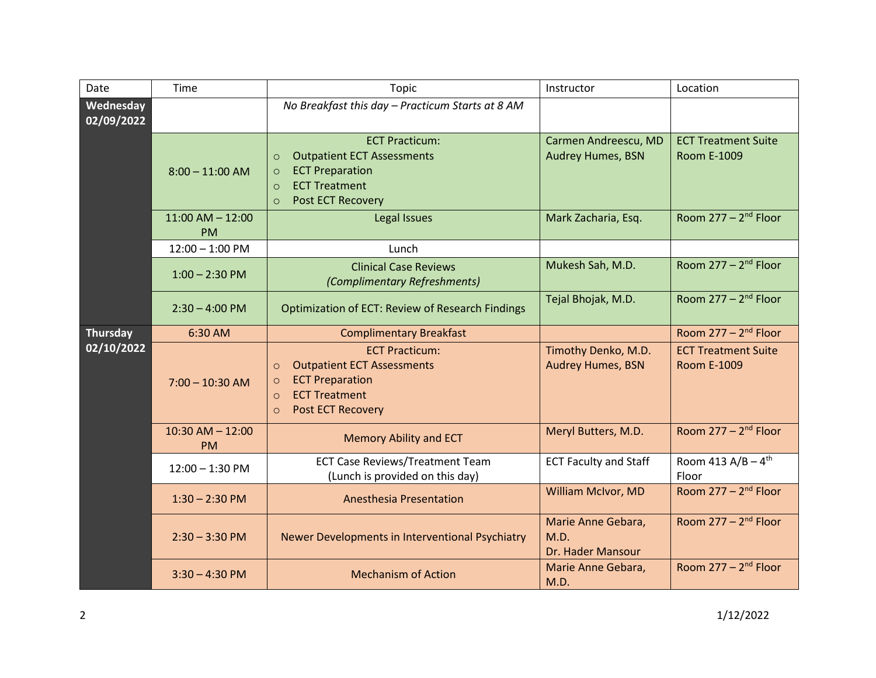| Date                    | Time                              | Topic                                                                                                                                                                                | Instructor                                       | Location                                         |
|-------------------------|-----------------------------------|--------------------------------------------------------------------------------------------------------------------------------------------------------------------------------------|--------------------------------------------------|--------------------------------------------------|
| Wednesday<br>02/09/2022 |                                   | No Breakfast this day - Practicum Starts at 8 AM                                                                                                                                     |                                                  |                                                  |
|                         | $8:00 - 11:00$ AM                 | <b>ECT Practicum:</b><br><b>Outpatient ECT Assessments</b><br>$\circ$<br><b>ECT Preparation</b><br>$\circ$<br><b>ECT Treatment</b><br>$\circ$<br><b>Post ECT Recovery</b><br>$\circ$ | Carmen Andreescu, MD<br><b>Audrey Humes, BSN</b> | <b>ECT Treatment Suite</b><br><b>Room E-1009</b> |
|                         | $11:00$ AM $- 12:00$<br><b>PM</b> | Legal Issues                                                                                                                                                                         | Mark Zacharia, Esq.                              | Room $277 - 2^{nd}$ Floor                        |
|                         | $12:00 - 1:00$ PM                 | Lunch                                                                                                                                                                                |                                                  |                                                  |
|                         | $1:00 - 2:30$ PM                  | <b>Clinical Case Reviews</b><br>(Complimentary Refreshments)                                                                                                                         | Mukesh Sah, M.D.                                 | Room $277 - 2nd$ Floor                           |
|                         | $2:30 - 4:00$ PM                  | Optimization of ECT: Review of Research Findings                                                                                                                                     | Tejal Bhojak, M.D.                               | Room $277 - 2^{nd}$ Floor                        |
| <b>Thursday</b>         | 6:30 AM                           | <b>Complimentary Breakfast</b>                                                                                                                                                       |                                                  | Room $277 - 2^{nd}$ Floor                        |
| 02/10/2022              | $7:00 - 10:30$ AM                 | <b>ECT Practicum:</b><br><b>Outpatient ECT Assessments</b><br>$\circ$<br><b>ECT Preparation</b><br>$\circ$<br><b>ECT Treatment</b><br>$\circ$<br>Post ECT Recovery<br>$\circ$        | Timothy Denko, M.D.<br><b>Audrey Humes, BSN</b>  | <b>ECT Treatment Suite</b><br><b>Room E-1009</b> |
|                         | $10:30$ AM $- 12:00$<br><b>PM</b> | <b>Memory Ability and ECT</b>                                                                                                                                                        | Meryl Butters, M.D.                              | Room $277 - 2^{nd}$ Floor                        |
|                         | $12:00 - 1:30$ PM                 | <b>ECT Case Reviews/Treatment Team</b><br>(Lunch is provided on this day)                                                                                                            | <b>ECT Faculty and Staff</b>                     | Room 413 $A/B - 4$ <sup>th</sup><br>Floor        |
|                         | $1:30 - 2:30$ PM                  | <b>Anesthesia Presentation</b>                                                                                                                                                       | William McIvor, MD                               | Room $277 - 2^{nd}$ Floor                        |
|                         | $2:30 - 3:30$ PM                  | Newer Developments in Interventional Psychiatry                                                                                                                                      | Marie Anne Gebara,<br>M.D.<br>Dr. Hader Mansour  | Room $277 - 2^{nd}$ Floor                        |
|                         | $3:30 - 4:30$ PM                  | <b>Mechanism of Action</b>                                                                                                                                                           | Marie Anne Gebara,<br>M.D.                       | Room $277 - 2^{nd}$ Floor                        |